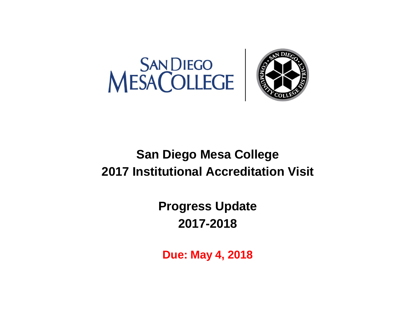



# **San Diego Mesa College 2017 Institutional Accreditation Visit**

**Progress Update 2017-2018**

**Due: May 4, 2018**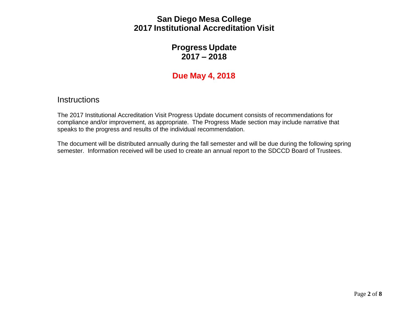#### SAN DIEGO MESA COLLEGE **San Diego Mesa College** Part Diogo mood Oonogo<br>2017 Institutional Accreditation Visit 2017-2018 **2017 Institutional Accreditation Visit**

## **Progress Update 2017 – 2018**

# **Due May 4, 2018**

#### **Instructions**

The 2017 Institutional Accreditation Visit Progress Update document consists of recommendations for compliance and/or improvement, as appropriate. The Progress Made section may include narrative that speaks to the progress and results of the individual recommendation.

The document will be distributed annually during the fall semester and will be due during the following spring semester. Information received will be used to create an annual report to the SDCCD Board of Trustees.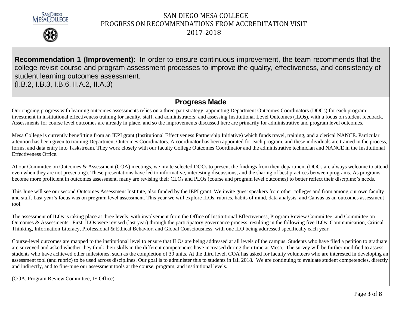



**Recommendation 1 (Improvement):** In order to ensure continuous improvement, the team recommends that the college revisit course and program assessment processes to improve the quality, effectiveness, and consistency of student learning outcomes assessment. (I.B.2, I.B.3, I.B.6, II.A.2, II.A.3)

#### **Progress Made**

Our ongoing progress with learning outcomes assessments relies on a three-part strategy: appointing Department Outcomes Coordinators (DOCs) for each program; investment in institutional effectiveness training for faculty, staff, and administrators; and assessing Institutional Level Outcomes (ILOs), with a focus on student feedback. Assessments for course level outcomes are already in place, and so the improvements discussed here are primarily for administrative and program level outcomes.

Mesa College is currently benefitting from an IEPI grant (Institutional Effectiveness Partnership Initiative) which funds travel, training, and a clerical NANCE. Particular attention has been given to training Department Outcomes Coordinators. A coordinator has been appointed for each program, and these individuals are trained in the process, forms, and data entry into Taskstream. They work closely with our faculty College Outcomes Coordinator and the administrative technician and NANCE in the Institutional Effectiveness Office.

At our Committee on Outcomes & Assessment (COA) meetings, we invite selected DOCs to present the findings from their department (DOCs are always welcome to attend even when they are not presenting). These presentations have led to informative, interesting discussions, and the sharing of best practices between programs. As programs become more proficient in outcomes assessment, many are revising their CLOs and PLOs (course and program level outcomes) to better reflect their discipline's needs.

This June will see our second Outcomes Assessment Institute, also funded by the IEPI grant. We invite guest speakers from other colleges and from among our own faculty and staff. Last year's focus was on program level assessment. This year we will explore ILOs, rubrics, habits of mind, data analysis, and Canvas as an outcomes assessment tool.

The assessment of ILOs is taking place at three levels, with involvement from the Office of Institutional Effectiveness, Program Review Committee, and Committee on Outcomes & Assessments. First, ILOs were revised (last year) through the participatory governance process, resulting in the following five ILOs: Communication, Critical Thinking, Information Literacy, Professional & Ethical Behavior, and Global Consciousness, with one ILO being addressed specifically each year.

Course-level outcomes are mapped to the institutional level to ensure that ILOs are being addressed at all levels of the campus. Students who have filed a petition to graduate are surveyed and asked whether they think their skills in the different competencies have increased during their time at Mesa. The survey will be further modified to assess students who have achieved other milestones, such as the completion of 30 units. At the third level, COA has asked for faculty volunteers who are interested in developing an assessment tool (and rubric) to be used across disciplines. Our goal is to administer this to students in fall 2018. We are continuing to evaluate student competencies, directly and indirectly, and to fine-tune our assessment tools at the course, program, and institutional levels.

(COA, Program Review Committee, IE Office)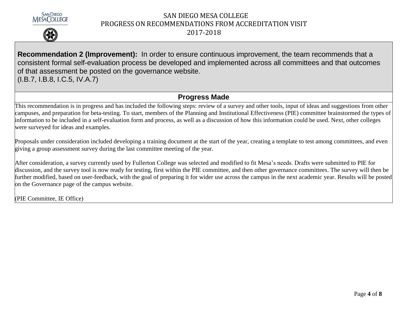



**Recommendation 2 (Improvement):** In order to ensure continuous improvement, the team recommends that a consistent formal self-evaluation process be developed and implemented across all committees and that outcomes of that assessment be posted on the governance website. (I.B.7, I.B.8, I.C.5, IV.A.7)

#### **Progress Made**

This recommendation is in progress and has included the following steps: review of a survey and other tools, input of ideas and suggestions from other campuses, and preparation for beta-testing. To start, members of the Planning and Institutional Effectiveness (PIE) committee brainstormed the types of information to be included in a self-evaluation form and process, as well as a discussion of how this information could be used. Next, other colleges were surveyed for ideas and examples.

Proposals under consideration included developing a training document at the start of the year, creating a template to test among committees, and even giving a group assessment survey during the last committee meeting of the year.

After consideration, a survey currently used by Fullerton College was selected and modified to fit Mesa's needs. Drafts were submitted to PIE for discussion, and the survey tool is now ready for testing, first within the PIE committee, and then other governance committees. The survey will then be further modified, based on user-feedback, with the goal of preparing it for wider use across the campus in the next academic year. Results will be posted on the Governance page of the campus website.

(PIE Committee, IE Office)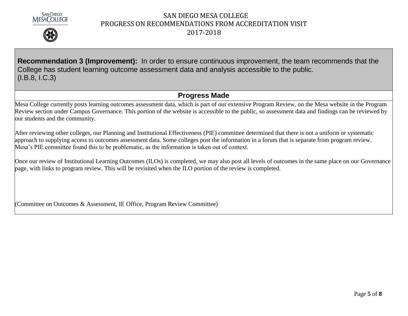



**Recommendation 3 (Improvement):** In order to ensure continuous improvement, the team recommends that the College has student learning outcome assessment data and analysis accessible to the public. (I.B.8, I.C.3)

#### **Progress Made**

Mesa College currently posts learning outcomes assessment data, which is part of our extensive Program Review, on the Mesa website in the Program Review section under Campus Governance. This portion of the website is accessible to the public, so assessment data and findings can be reviewed by our students and the community.

After reviewing other colleges, our Planning and Institutional Effectiveness (PIE) committee determined that there is not a uniform or systematic approach to supplying access to outcomes assessment data. Some colleges post the information in a forum that is separate from program review. Mesa's PIE committee found this to be problematic, as the information is taken out of context.

Once our review of Institutional Learning Outcomes (ILOs) is completed, we may also post all levels of outcomes in the same place on our Governance page, with links to program review. This will be revisited when the ILO portion of the review is completed.

(Committee on Outcomes & Assessment, IE Office, Program Review Committee)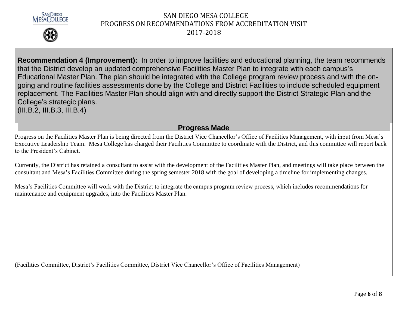



**Recommendation 4 (Improvement):** In order to improve facilities and educational planning, the team recommends that the District develop an updated comprehensive Facilities Master Plan to integrate with each campus's Educational Master Plan. The plan should be integrated with the College program review process and with the ongoing and routine facilities assessments done by the College and District Facilities to include scheduled equipment replacement. The Facilities Master Plan should align with and directly support the District Strategic Plan and the College's strategic plans. (III.B.2, III.B.3, III.B.4)

**Progress Made**

Progress on the Facilities Master Plan is being directed from the District Vice Chancellor's Office of Facilities Management, with input from Mesa's Executive Leadership Team. Mesa College has charged their Facilities Committee to coordinate with the District, and this committee will report back to the President's Cabinet.

Currently, the District has retained a consultant to assist with the development of the Facilities Master Plan, and meetings will take place between the consultant and Mesa's Facilities Committee during the spring semester 2018 with the goal of developing a timeline for implementing changes.

Mesa's Facilities Committee will work with the District to integrate the campus program review process, which includes recommendations for maintenance and equipment upgrades, into the Facilities Master Plan.

(Facilities Committee, District's Facilities Committee, District Vice Chancellor's Office of Facilities Management)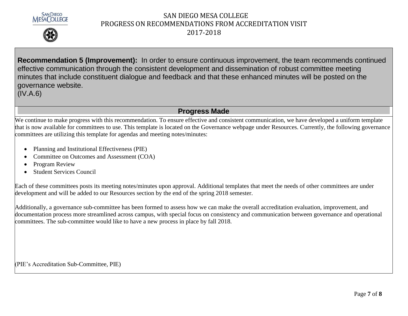



**Recommendation 5 (Improvement):** In order to ensure continuous improvement, the team recommends continued effective communication through the consistent development and dissemination of robust committee meeting minutes that include constituent dialogue and feedback and that these enhanced minutes will be posted on the governance website.

(IV.A.6)

### **Progress Made**

We continue to make progress with this recommendation. To ensure effective and consistent communication, we have developed a uniform template that is now available for committees to use. This template is located on the Governance webpage under Resources. Currently, the following governance committees are utilizing this template for agendas and meeting notes/minutes:

- Planning and Institutional Effectiveness (PIE)
- Committee on Outcomes and Assessment (COA)
- Program Review
- Student Services Council

Each of these committees posts its meeting notes/minutes upon approval. Additional templates that meet the needs of other committees are under development and will be added to our Resources section by the end of the spring 2018 semester.

Additionally, a governance sub-committee has been formed to assess how we can make the overall accreditation evaluation, improvement, and documentation process more streamlined across campus, with special focus on consistency and communication between governance and operational committees. The sub-committee would like to have a new process in place by fall 2018.

(PIE's Accreditation Sub-Committee, PIE)